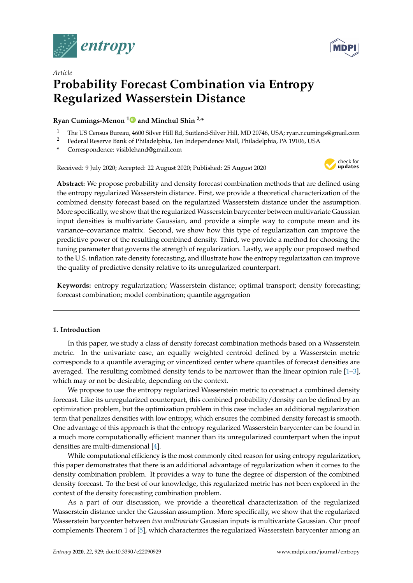

*Article*



# **Probability Forecast Combination via Entropy Regularized Wasserstein Distance**

# **Ryan Cumings-Menon [1](https://orcid.org/0000-0001-5708-7627) and Minchul Shin 2,\***

- <sup>1</sup> The US Census Bureau, 4600 Silver Hill Rd, Suitland-Silver Hill, MD 20746, USA; ryan.r.cumings@gmail.com
- <sup>2</sup> Federal Reserve Bank of Philadelphia, Ten Independence Mall, Philadelphia, PA 19106, USA
- **\*** Correspondence: visiblehand@gmail.com

Received: 9 July 2020; Accepted: 22 August 2020; Published: 25 August 2020



**Abstract:** We propose probability and density forecast combination methods that are defined using the entropy regularized Wasserstein distance. First, we provide a theoretical characterization of the combined density forecast based on the regularized Wasserstein distance under the assumption. More specifically, we show that the regularized Wasserstein barycenter between multivariate Gaussian input densities is multivariate Gaussian, and provide a simple way to compute mean and its variance–covariance matrix. Second, we show how this type of regularization can improve the predictive power of the resulting combined density. Third, we provide a method for choosing the tuning parameter that governs the strength of regularization. Lastly, we apply our proposed method to the U.S. inflation rate density forecasting, and illustrate how the entropy regularization can improve the quality of predictive density relative to its unregularized counterpart.

**Keywords:** entropy regularization; Wasserstein distance; optimal transport; density forecasting; forecast combination; model combination; quantile aggregation

# **1. Introduction**

In this paper, we study a class of density forecast combination methods based on a Wasserstein metric. In the univariate case, an equally weighted centroid defined by a Wasserstein metric corresponds to a quantile averaging or vincentized center where quantiles of forecast densities are averaged. The resulting combined density tends to be narrower than the linear opinion rule  $[1-3]$  $[1-3]$ , which may or not be desirable, depending on the context.

We propose to use the entropy regularized Wasserstein metric to construct a combined density forecast. Like its unregularized counterpart, this combined probability/density can be defined by an optimization problem, but the optimization problem in this case includes an additional regularization term that penalizes densities with low entropy, which ensures the combined density forecast is smooth. One advantage of this approach is that the entropy regularized Wasserstein barycenter can be found in a much more computationally efficient manner than its unregularized counterpart when the input densities are multi-dimensional [\[4\]](#page-16-2).

While computational efficiency is the most commonly cited reason for using entropy regularization, this paper demonstrates that there is an additional advantage of regularization when it comes to the density combination problem. It provides a way to tune the degree of dispersion of the combined density forecast. To the best of our knowledge, this regularized metric has not been explored in the context of the density forecasting combination problem.

As a part of our discussion, we provide a theoretical characterization of the regularized Wasserstein distance under the Gaussian assumption. More specifically, we show that the regularized Wasserstein barycenter between *two multivariate* Gaussian inputs is multivariate Gaussian. Our proof complements Theorem 1 of [\[5\]](#page-16-3), which characterizes the regularized Wasserstein barycenter among an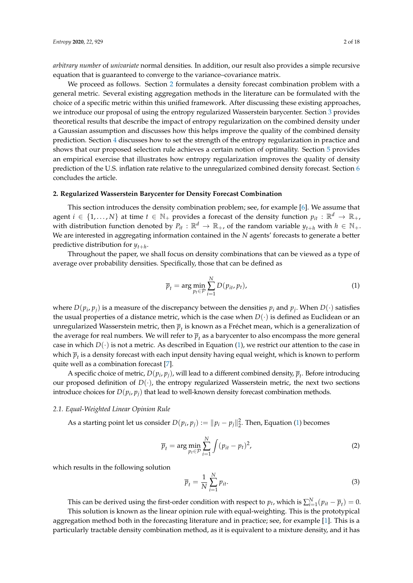*arbitrary number* of *univariate* normal densities. In addition, our result also provides a simple recursive equation that is guaranteed to converge to the variance–covariance matrix.

We proceed as follows. Section [2](#page-1-0) formulates a density forecast combination problem with a general metric. Several existing aggregation methods in the literature can be formulated with the choice of a specific metric within this unified framework. After discussing these existing approaches, we introduce our proposal of using the entropy regularized Wasserstein barycenter. Section [3](#page-3-0) provides theoretical results that describe the impact of entropy regularization on the combined density under a Gaussian assumption and discusses how this helps improve the quality of the combined density prediction. Section [4](#page-5-0) discusses how to set the strength of the entropy regularization in practice and shows that our proposed selection rule achieves a certain notion of optimality. Section [5](#page-6-0) provides an empirical exercise that illustrates how entropy regularization improves the quality of density prediction of the U.S. inflation rate relative to the unregularized combined density forecast. Section [6](#page-8-0) concludes the article.

## <span id="page-1-0"></span>**2. Regularized Wasserstein Barycenter for Density Forecast Combination**

This section introduces the density combination problem; see, for example [\[6\]](#page-16-4). We assume that agent  $i \in \{1,\ldots,N\}$  at time  $t \in \mathbb{N}_+$  provides a forecast of the density function  $p_{it} : \mathbb{R}^d \to \mathbb{R}_+$ , with distribution function denoted by  $P_{it}$ :  $\mathbb{R}^d \to \mathbb{R}_+$ , of the random variable  $y_{t+h}$  with  $h \in \mathbb{N}_+$ . We are interested in aggregating information contained in the *N* agents' forecasts to generate a better predictive distribution for *yt*+*<sup>h</sup>* .

Throughout the paper, we shall focus on density combinations that can be viewed as a type of average over probability densities. Specifically, those that can be defined as

<span id="page-1-1"></span>
$$
\overline{p}_t = \arg\min_{p_t \in \mathcal{P}} \sum_{i=1}^N D(p_{it}, p_t), \qquad (1)
$$

where  $D(p_i, p_j)$  is a measure of the discrepancy between the densities  $p_i$  and  $p_j$ . When  $D(\cdot)$  satisfies the usual properties of a distance metric, which is the case when  $D(\cdot)$  is defined as Euclidean or an unregularized Wasserstein metric, then  $\overline{p}_t$  is known as a Fréchet mean, which is a generalization of the average for real numbers. We will refer to  $\overline{p}_t$  as a barycenter to also encompass the more general case in which  $D(\cdot)$  is not a metric. As described in Equation [\(1\)](#page-1-1), we restrict our attention to the case in which  $\overline{p}_t$  is a density forecast with each input density having equal weight*,* which is known to perform quite well as a combination forecast [\[7\]](#page-16-5).

A specific choice of metric,  $D(p_i, p_j)$ , will lead to a different combined density,  $\overline{p}_t$ . Before introducing our proposed definition of  $D(\cdot)$ , the entropy regularized Wasserstein metric, the next two sections introduce choices for  $D(p_i, p_j)$  that lead to well-known density forecast combination methods.

#### *2.1. Equal-Weighted Linear Opinion Rule*

As a starting point let us consider  $D(p_i, p_j) := ||p_i - p_j||_2^2$ . Then, Equation [\(1\)](#page-1-1) becomes

$$
\overline{p}_t = \arg\min_{p_t \in \mathcal{P}} \sum_{i=1}^N \int (p_{it} - p_t)^2,\tag{2}
$$

which results in the following solution

$$
\overline{p}_t = \frac{1}{N} \sum_{i=1}^{N} p_{it}.
$$
\n(3)

This can be derived using the first-order condition with respect to  $p_t$ , which is  $\sum_{i=1}^{N} (p_{it} - \overline{p}_t) = 0$ .

This solution is known as the linear opinion rule with equal-weighting. This is the prototypical aggregation method both in the forecasting literature and in practice; see, for example [\[1\]](#page-16-0). This is a particularly tractable density combination method, as it is equivalent to a mixture density, and it has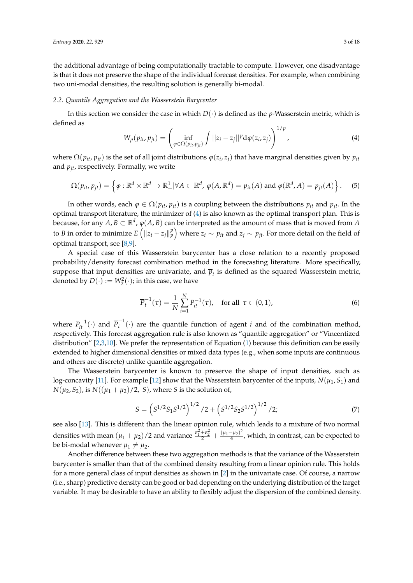the additional advantage of being computationally tractable to compute. However, one disadvantage is that it does not preserve the shape of the individual forecast densities. For example, when combining two uni-modal densities, the resulting solution is generally bi-modal.

#### *2.2. Quantile Aggregation and the Wasserstein Barycenter*

In this section we consider the case in which  $D(\cdot)$  is defined as the *p*-Wasserstein metric, which is defined as

<span id="page-2-0"></span>
$$
W_p(p_{it}, p_{jt}) = \left(\inf_{\varphi \in \Omega(p_{it}, p_{jt})} \int ||z_i - z_j||^p d\varphi(z_i, z_j)\right)^{1/p}, \tag{4}
$$

where  $\Omega(p_{it}, p_{jt})$  is the set of all joint distributions  $\varphi(z_i, z_j)$  that have marginal densities given by  $p_{it}$ and  $p_{it}$ , respectively. Formally, we write

$$
\Omega(p_{it}, p_{jt}) = \left\{ \varphi : \mathbb{R}^d \times \mathbb{R}^d \to \mathbb{R}^1_+ | \forall A \subset \mathbb{R}^d, \, \varphi(A, \mathbb{R}^d) = p_{it}(A) \text{ and } \varphi(\mathbb{R}^d, A) = p_{jt}(A) \right\}.
$$
 (5)

In other words, each  $\varphi \in \Omega(p_{it}, p_{it})$  is a coupling between the distributions  $p_{it}$  and  $p_{it}$ . In the optimal transport literature, the minimizer of [\(4\)](#page-2-0) is also known as the optimal transport plan. This is because, for any  $A$ ,  $B\subset\mathbb{R}^d$ ,  $\varphi(A,B)$  can be interpreted as the amount of mass that is moved from  $A$ to *B* in order to minimize  $E([z_i - z_j||_p^p)$  where  $z_i \sim p_{it}$  and  $z_j \sim p_{jt}$ . For more detail on the field of optimal transport, see [\[8,](#page-16-6)[9\]](#page-16-7).

A special case of this Wasserstein barycenter has a close relation to a recently proposed probability/density forecast combination method in the forecasting literature. More specifically, suppose that input densities are univariate, and  $\overline{p}_t$  is defined as the squared Wasserstein metric, denoted by  $D(\cdot) := W_2^2(\cdot)$ ; in this case, we have

$$
\overline{P}_t^{-1}(\tau) = \frac{1}{N} \sum_{i=1}^{N} P_{it}^{-1}(\tau), \quad \text{for all } \tau \in (0, 1), \tag{6}
$$

where  $P_{it}^{-1}(\cdot)$  and  $\overline{P}_t^{-1}$  $t_t^{-1}(\cdot)$  are the quantile function of agent *i* and of the combination method, respectively. This forecast aggregation rule is also known as "quantile aggregation" or "Vincentized distribution" [\[2](#page-16-8)[,3](#page-16-1)[,10\]](#page-16-9). We prefer the representation of Equation [\(1\)](#page-1-1) because this definition can be easily extended to higher dimensional densities or mixed data types (e.g., when some inputs are continuous and others are discrete) unlike quantile aggregation.

The Wasserstein barycenter is known to preserve the shape of input densities, such as log-concavity [\[11\]](#page-16-10). For example [\[12\]](#page-16-11) show that the Wasserstein barycenter of the inputs,  $N(\mu_1, S_1)$  and *N*( $\mu_2$ , *S*<sub>2</sub>), is *N*(( $\mu_1 + \mu_2$ )/2, *S*), where *S* is the solution of,

$$
S = \left(S^{1/2}S_1S^{1/2}\right)^{1/2}/2 + \left(S^{1/2}S_2S^{1/2}\right)^{1/2}/2; \tag{7}
$$

see also [\[13\]](#page-16-12). This is different than the linear opinion rule, which leads to a mixture of two normal densities with mean  $(\mu_1 + \mu_2)/2$  and variance  $\frac{\sigma_1^2 + \sigma_2^2}{2} + \frac{(\mu_1 - \mu_2)^2}{4}$  $\frac{(\mu_2)}{4}$ , which, in contrast, can be expected to be bi-modal whenever  $\mu_1 \neq \mu_2$ .

Another difference between these two aggregation methods is that the variance of the Wasserstein barycenter is smaller than that of the combined density resulting from a linear opinion rule. This holds for a more general class of input densities as shown in [\[2\]](#page-16-8) in the univariate case. Of course, a narrow (i.e., sharp) predictive density can be good or bad depending on the underlying distribution of the target variable. It may be desirable to have an ability to flexibly adjust the dispersion of the combined density.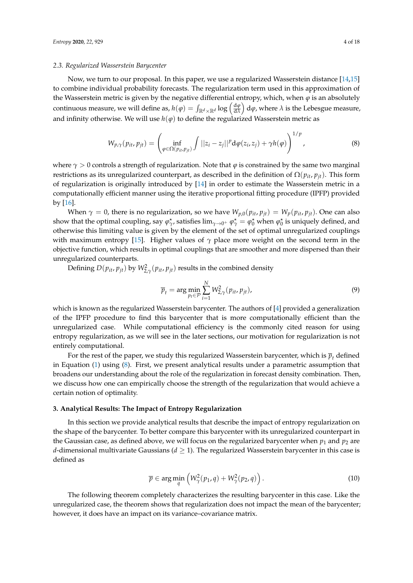#### *2.3. Regularized Wasserstein Barycenter*

Now, we turn to our proposal. In this paper, we use a regularized Wasserstein distance [\[14](#page-16-13)[,15\]](#page-16-14) to combine individual probability forecasts. The regularization term used in this approximation of the Wasserstein metric is given by the negative differential entropy, which, when  $\varphi$  is an absolutely continuous measure, we will define as,  $h(\varphi) = \int_{\mathbb{R}^d \times \mathbb{R}^d} \log \left( \frac{\mathrm{d}\varphi}{\mathrm{d}\lambda} \right)$ d*λ*  $\big)$  d $\varphi$ , where  $\lambda$  is the Lebesgue measure, and infinity otherwise. We will use  $h(\varphi)$  to define the regularized Wasserstein metric as

<span id="page-3-1"></span>
$$
W_{p,\gamma}(p_{it}, p_{jt}) = \left(\inf_{\varphi \in \Omega(p_{it}, p_{jt})} \int ||z_i - z_j||^p d\varphi(z_i, z_j) + \gamma h(\varphi) \right)^{1/p}, \tag{8}
$$

where  $\gamma > 0$  controls a strength of regularization. Note that  $\varphi$  is constrained by the same two marginal restrictions as its unregularized counterpart, as described in the definition of  $\Omega(p_{it}, p_{it})$ . This form of regularization is originally introduced by [\[14\]](#page-16-13) in order to estimate the Wasserstein metric in a computationally efficient manner using the iterative proportional fitting procedure (IPFP) provided  $by [16]$  $by [16]$ .

When  $\gamma = 0$ , there is no regularization, so we have  $W_{p,0}(p_{it}, p_{jt}) = W_p(p_{it}, p_{jt})$ . One can also show that the optimal coupling, say  $\varphi_\gamma^\star$ , satisfies  $\lim_{\gamma\to 0^+}\varphi_\gamma^\star=\varphi_0^\star$  when  $\varphi_0^\star$  is uniquely defined, and otherwise this limiting value is given by the element of the set of optimal unregularized couplings with maximum entropy [\[15\]](#page-16-14). Higher values of  $\gamma$  place more weight on the second term in the objective function, which results in optimal couplings that are smoother and more dispersed than their unregularized counterparts.

Defining  $D(p_{it}, p_{jt})$  by  $W^2_{2,\gamma}(p_{it}, p_{jt})$  results in the combined density

$$
\overline{p}_t = \arg\min_{p_t \in \mathcal{P}} \sum_{i=1}^N W_{2,\gamma}^2(p_{it}, p_{jt}), \qquad (9)
$$

which is known as the regularized Wasserstein barycenter. The authors of [\[4\]](#page-16-2) provided a generalization of the IPFP procedure to find this barycenter that is more computationally efficient than the unregularized case. While computational efficiency is the commonly cited reason for using entropy regularization, as we will see in the later sections, our motivation for regularization is not entirely computational.

For the rest of the paper, we study this regularized Wasserstein barycenter, which is  $\overline{p}_t$  defined in Equation [\(1\)](#page-1-1) using [\(8\)](#page-3-1). First, we present analytical results under a parametric assumption that broadens our understanding about the role of the regularization in forecast density combination. Then, we discuss how one can empirically choose the strength of the regularization that would achieve a certain notion of optimality.

#### <span id="page-3-0"></span>**3. Analytical Results: The Impact of Entropy Regularization**

In this section we provide analytical results that describe the impact of entropy regularization on the shape of the barycenter. To better compare this barycenter with its unregularized counterpart in the Gaussian case, as defined above, we will focus on the regularized barycenter when  $p_1$  and  $p_2$  are *d*-dimensional multivariate Gaussians ( $d \geq 1$ ). The regularized Wasserstein barycenter in this case is defined as

<span id="page-3-2"></span>
$$
\overline{p} \in \arg\min_{q} \left( W_{\gamma}^{2}(p_{1}, q) + W_{\gamma}^{2}(p_{2}, q) \right). \tag{10}
$$

The following theorem completely characterizes the resulting barycenter in this case. Like the unregularized case, the theorem shows that regularization does not impact the mean of the barycenter; however, it does have an impact on its variance–covariance matrix.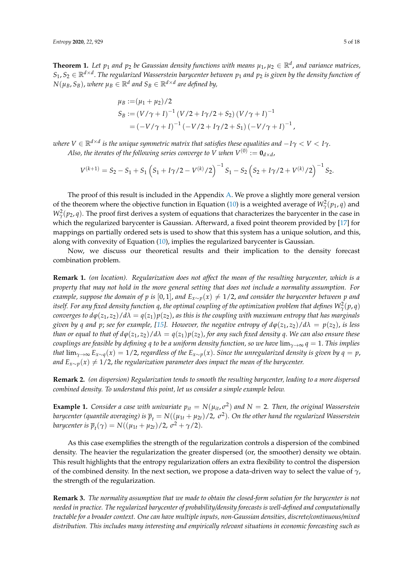**Theorem 1.** Let  $p_1$  and  $p_2$  be Gaussian density functions with means  $\mu_1, \mu_2 \in \mathbb{R}^d$ , and variance matrices,  $S_1, S_2 \in \mathbb{R}^{d \times d}.$  The regularized Wasserstein barycenter between  $p_1$  and  $p_2$  is given by the density function of  $N(\mu_B, S_B)$ , where  $\mu_B \in \mathbb{R}^d$  and  $S_B \in \mathbb{R}^{d \times d}$  are defined by,

$$
\mu_B := (\mu_1 + \mu_2)/2
$$
  
\n
$$
S_B := (V/\gamma + I)^{-1} (V/2 + I\gamma/2 + S_2) (V/\gamma + I)^{-1}
$$
  
\n
$$
= (-V/\gamma + I)^{-1} (-V/2 + I\gamma/2 + S_1) (-V/\gamma + I)^{-1},
$$

 $\omega$ here  $V \in \mathbb{R}^{d \times d}$  is the unique symmetric matrix that satisfies these equalities and  $-I\gamma < V < I\gamma.$ Also, the iterates of the following series converge to V when  $V^{(0)} := \textbf{0}_{d \times d}$ ,

$$
V^{(k+1)} = S_2 - S_1 + S_1 \left( S_1 + I\gamma/2 - V^{(k)}/2 \right)^{-1} S_1 - S_2 \left( S_2 + I\gamma/2 + V^{(k)}/2 \right)^{-1} S_2.
$$

The proof of this result is included in the Appendix [A.](#page-9-0) We prove a slightly more general version of the theorem where the objective function in Equation [\(10\)](#page-3-2) is a weighted average of  $W^2_\gamma(p_1, q)$  and  $W^2_\gamma(p_2, q)$ . The proof first derives a system of equations that characterizes the barycenter in the case in which the regularized barycenter is Gaussian. Afterward, a fixed point theorem provided by [\[17\]](#page-16-16) for mappings on partially ordered sets is used to show that this system has a unique solution, and this, along with convexity of Equation [\(10\)](#page-3-2), implies the regularized barycenter is Gaussian.

Now, we discuss our theoretical results and their implication to the density forecast combination problem.

**Remark 1.** *(on location). Regularization does not affect the mean of the resulting barycenter, which is a property that may not hold in the more general setting that does not include a normality assumption. For example, suppose the domain of p is* [0, 1], *and*  $E_{x\sim p}(x) \neq 1/2$ , *and consider the barycenter between p and* itself. For any fixed density function q, the optimal coupling of the optimization problem that defines  $W_\gamma^2(p,q)$ *converges to*  $d\varphi(z_1, z_2)/d\lambda = q(z_1)p(z_2)$ , as this is the coupling with maximum entropy that has marginals *given by q* and *p*; see for example, [\[15\]](#page-16-14). However, the negative entropy of  $d\varphi(z_1, z_2)/d\lambda = p(z_2)$ , is less *than or equal to that of*  $d\varphi(z_1, z_2)/d\lambda = q(z_1)p(z_2)$ *, for any such fixed density q. We can also ensure these couplings are feasible by defining q to be a uniform density function, so we have*  $\lim_{\gamma \to \infty} q = 1$ . *This implies that*  $\lim_{\gamma\to\infty} E_{x\sim q}(x) = 1/2$ , *regardless of the*  $E_{x\sim p}(x)$ . *Since the unregularized density is given by*  $q = p$ , *and*  $E_{x\sim p}(x) \neq 1/2$ , *the regularization parameter does impact the mean of the barycenter.* 

**Remark 2.** *(on dispersion) Regularization tends to smooth the resulting barycenter, leading to a more dispersed combined density. To understand this point, let us consider a simple example below.*

**Example 1.** *Consider a case with univariate*  $p_{it} = N(\mu_{it}, \sigma^2)$  and  $N = 2$ . *Then, the original Wasserstein barycenter (quantile averaging) is*  $\overline{p}_t = N((\mu_{1t}+\mu_{2t})/2,\ \sigma^2).$  *On the other hand the regularized Wasserstein barycenter is*  $\overline{p}_t(\gamma) = N((\mu_{1t} + \mu_{2t})/2, \sigma^2 + \gamma/2).$ 

As this case exemplifies the strength of the regularization controls a dispersion of the combined density. The heavier the regularization the greater dispersed (or, the smoother) density we obtain. This result highlights that the entropy regularization offers an extra flexibility to control the dispersion of the combined density. In the next section, we propose a data-driven way to select the value of *γ*, the strength of the regularization.

**Remark 3.** *The normality assumption that we made to obtain the closed-form solution for the barycenter is not needed in practice. The regularized barycenter of probability/density forecasts is well-defined and computationally tractable for a broader context. One can have multiple inputs, non-Gaussian densities, discrete/continuous/mixed distribution. This includes many interesting and empirically relevant situations in economic forecasting such as*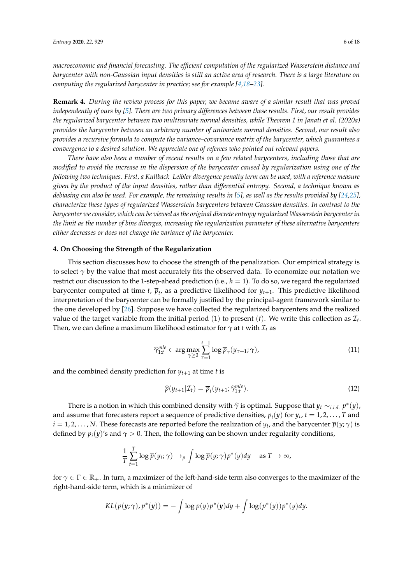*macroeconomic and financial forecasting. The efficient computation of the regularized Wasserstein distance and barycenter with non-Gaussian input densities is still an active area of research. There is a large literature on computing the regularized barycenter in practice; see for example [\[4](#page-16-2)[,18](#page-16-17)[–23\]](#page-16-18).* 

**Remark 4.** *During the review process for this paper, we became aware of a similar result that was proved independently of ours by [\[5\]](#page-16-3). There are two primary differences between these results. First, our result provides the regularized barycenter between two multivariate normal densities, while Theorem 1 in Janati et al. (2020a) provides the barycenter between an arbitrary number of univariate normal densities. Second, our result also provides a recursive formula to compute the variance–covariance matrix of the barycenter, which guarantees a convergence to a desired solution. We appreciate one of referees who pointed out relevant papers.*

*There have also been a number of recent results on a few related barycenters, including those that are modified to avoid the increase in the dispersion of the barycenter caused by regularization using one of the following two techniques. First, a Kullback–Leibler divergence penalty term can be used, with a reference measure given by the product of the input densities, rather than differential entropy. Second, a technique known as debiasing can also be used. For example, the remaining results in [\[5\]](#page-16-3), as well as the results provided by [\[24,](#page-16-19)[25\]](#page-16-20)*, *characterize these types of regularized Wasserstein barycenters between Gaussian densities. In contrast to the barycenter we consider, which can be viewed as the original discrete entropy regularized Wasserstein barycenter in the limit as the number of bins diverges, increasing the regularization parameter of these alternative barycenters either decreases or does not change the variance of the barycenter.*

## <span id="page-5-0"></span>**4. On Choosing the Strength of the Regularization**

This section discusses how to choose the strength of the penalization. Our empirical strategy is to select  $\gamma$  by the value that most accurately fits the observed data. To economize our notation we restrict our discussion to the 1-step-ahead prediction (i.e.,  $h = 1$ ). To do so, we regard the regularized barycenter computed at time *t*,  $\overline{p}_t$ , as a predictive likelihood for  $y_{t+1}$ . This predictive likelihood interpretation of the barycenter can be formally justified by the principal-agent framework similar to the one developed by [\[26\]](#page-16-21). Suppose we have collected the regularized barycenters and the realized value of the target variable from the initial period  $(1)$  to present  $(t)$ . We write this collection as  $\mathcal{I}_t$ . Then, we can define a maximum likelihood estimator for  $\gamma$  at *t* with  $\mathcal{I}_t$  as

<span id="page-5-1"></span>
$$
\widehat{\gamma}_{1:t}^{mle} \in \arg\max_{\gamma \ge 0} \sum_{\tau=1}^{t-1} \log \overline{p}_{\tau}(y_{\tau+1}; \gamma), \tag{11}
$$

and the combined density prediction for  $y_{t+1}$  at time *t* is

$$
\widehat{p}(y_{t+1}|\mathcal{I}_t) = \overline{p}_t(y_{t+1}; \widehat{\gamma}_{1:t}^{mle}).
$$
\n(12)

There is a notion in which this combined density with  $\hat{\gamma}$  is optimal. Suppose that  $y_t \sim_{i.i.d.} p^*(y)$ , and assume that forecasters report a sequence of predictive densities,  $p_i(y)$  for  $y_t$ ,  $t = 1, 2, \ldots, T$  and  $i=1,2,\ldots,N.$  These forecasts are reported before the realization of  $y_t$ , and the barycenter  $\overline{p}(y;\gamma)$  is defined by  $p_i(y)$ 's and  $\gamma > 0$ . Then, the following can be shown under regularity conditions,

$$
\frac{1}{T} \sum_{t=1}^T \log \overline{p}(y_t; \gamma) \to_p \int \log \overline{p}(y; \gamma) p^*(y) dy \quad \text{as } T \to \infty,
$$

for  $\gamma \in \Gamma \in \mathbb{R}_+$ . In turn, a maximizer of the left-hand-side term also converges to the maximizer of the right-hand-side term, which is a minimizer of

$$
KL(\overline{p}(y; \gamma), p^*(y)) = -\int \log \overline{p}(y) p^*(y) dy + \int \log(p^*(y)) p^*(y) dy.
$$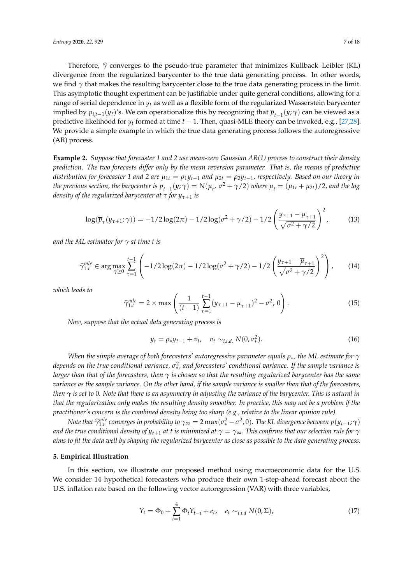Therefore,  $\hat{\gamma}$  converges to the pseudo-true parameter that minimizes Kullback–Leibler (KL) divergence from the regularized barycenter to the true data generating process. In other words, we find  $\gamma$  that makes the resulting barycenter close to the true data generating process in the limit. This asymptotic thought experiment can be justifiable under quite general conditions, allowing for a range of serial dependence in  $y_t$  as well as a flexible form of the regularized Wasserstein barycenter implied by  $p_{i,t-1}(y_t)$ 's. We can operationalize this by recognizing that  $\overline{p}_{t-1}(y;\gamma)$  can be viewed as a predictive likelihood for *y<sup>t</sup>* formed at time *t* − 1. Then, quasi-MLE theory can be invoked, e.g., [\[27](#page-16-22)[,28\]](#page-16-23). We provide a simple example in which the true data generating process follows the autoregressive (AR) process.

**Example 2.** *Suppose that forecaster 1 and 2 use mean-zero Gaussian AR(1) process to construct their density prediction. The two forecasts differ only by the mean reversion parameter. That is, the means of predictive distribution for forecaster* 1 and 2 are  $\mu_{1t} = \rho_1 y_{t-1}$  and  $\mu_{2t} = \rho_2 y_{t-1}$ , respectively. Based on our theory in the previous section, the barycenter is  $\overline{p}_{t-1}(y;\gamma)=N(\overline{\mu}_t, \sigma^2+\gamma/2)$  where  $\overline{\mu}_t=(\mu_{1t}+\mu_{2t})/2$ , and the log *density of the regularized barycenter at*  $\tau$  *for*  $y_{\tau+1}$  *is* 

$$
\log(\overline{p}_{\tau}(y_{\tau+1};\gamma)) = -1/2 \log(2\pi) - 1/2 \log(\sigma^2 + \gamma/2) - 1/2 \left(\frac{y_{\tau+1} - \overline{\mu}_{\tau+1}}{\sqrt{\sigma^2 + \gamma/2}}\right)^2,
$$
 (13)

*and the ML estimator for γ at time t is*

$$
\widehat{\gamma}_{1:t}^{mle} \in \arg\max_{\gamma \ge 0} \sum_{\tau=1}^{t-1} \left( -1/2 \log(2\pi) - 1/2 \log(\sigma^2 + \gamma/2) - 1/2 \left( \frac{y_{\tau+1} - \overline{\mu}_{\tau+1}}{\sqrt{\sigma^2 + \gamma/2}} \right)^2 \right), \tag{14}
$$

*which leads to*

$$
\widehat{\gamma}_{1:t}^{mle} = 2 \times \max \left( \frac{1}{(t-1)} \sum_{\tau=1}^{t-1} (y_{\tau+1} - \overline{\mu}_{\tau+1})^2 - \sigma^2, 0 \right). \tag{15}
$$

*Now, suppose that the actual data generating process is*

$$
y_t = \rho_* y_{t-1} + v_t, \quad v_t \sim_{i.i.d.} N(0, \sigma_*^2).
$$
 (16)

*When the simple average of both forecasters' autoregressive parameter equals*  $ρ_∗$ *, the ML estimate for*  $γ$ depends on the true conditional variance, σ $_{*}$ , and forecasters' conditional variance. If the sample variance is *larger than that of the forecasters, then γ is chosen so that the resulting regularized barycenter has the same variance as the sample variance. On the other hand, if the sample variance is smaller than that of the forecasters, then γ is set to* 0*. Note that there is an asymmetry in adjusting the variance of the barycenter. This is natural in that the regularization only makes the resulting density smoother. In practice, this may not be a problem if the practitioner's concern is the combined density being too sharp (e.g., relative to the linear opinion rule).*

*Note that*  $\widehat{\gamma}^{mle}_{1:t}$  converges in probability to  $\gamma_{\infty} = 2 \max(\sigma^2_* - \sigma^2, 0)$ . The KL divergence between  $\overline{p}(y_{t+1}; \gamma)$ *and the true conditional density of*  $y_{t+1}$  *at t is minimized at*  $\gamma = \gamma_\infty$ *. This confirms that our selection rule for*  $\gamma$ *aims to fit the data well by shaping the regularized barycenter as close as possible to the data generating process.*

## <span id="page-6-0"></span>**5. Empirical Illustration**

In this section, we illustrate our proposed method using macroeconomic data for the U.S. We consider 14 hypothetical forecasters who produce their own 1-step-ahead forecast about the U.S. inflation rate based on the following vector autoregression (VAR) with three variables,

$$
Y_t = \Phi_0 + \sum_{i=1}^4 \Phi_i Y_{t-i} + e_t, \quad e_t \sim_{i.i.d} N(0, \Sigma),
$$
 (17)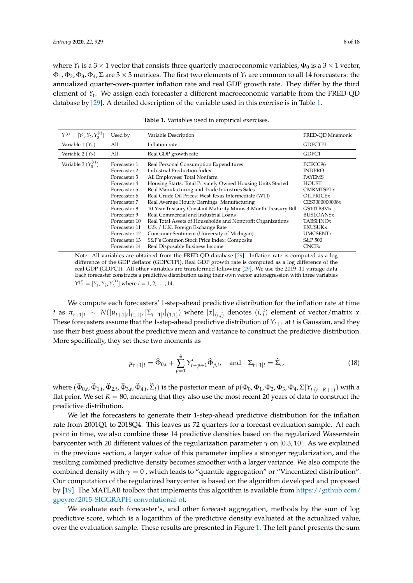where  $Y_t$  is a 3  $\times$  1 vector that consists three quarterly macroeconomic variables,  $\Phi_0$  is a 3  $\times$  1 vector, Φ1, Φ2, Φ3, Φ4, Σ are 3 × 3 matrices. The first two elements of *Y<sup>t</sup>* are common to all 14 forecasters: the annualized quarter-over-quarter inflation rate and real GDP growth rate. They differ by the third element of *Y<sup>t</sup>* . We assign each forecaster a different macroeconomic variable from the FRED-QD database by [\[29\]](#page-17-0). A detailed description of the variable used in this exercise is in Table [1.](#page-7-0)

<span id="page-7-0"></span>

| $Y^{(i)} = [Y_1, Y_2, Y_3^{(i)}]$ | Used by       | Variable Description                                           | FRED-OD Mnemonic        |
|-----------------------------------|---------------|----------------------------------------------------------------|-------------------------|
| Variable 1 $(Y_1)$                | All           | Inflation rate                                                 | <b>GDPCTPI</b>          |
| Variable 2 $(Y_2)$                | All           | Real GDP growth rate                                           | GDPC1                   |
| Variable 3 $(Y_3^{(i)})$          | Forecaster 1  | Real Personal Consumption Expenditures                         | PCECC96                 |
|                                   | Forecaster 2  | <b>Industrial Production Index</b>                             | <b>INDPRO</b>           |
|                                   | Forecaster 3  | All Employees: Total Nonfarm                                   | <b>PAYEMS</b>           |
|                                   | Forecaster 4  | Housing Starts: Total Privately Owned Housing Units Started    | <b>HOUST</b>            |
|                                   | Forecaster 5  | Real Manufacturing and Trade Industries Sales                  | <b>CMRMTSPLx</b>        |
|                                   | Forecaster 6  | Real Crude Oil Prices: West Texas Intermediate (WTI)           | <b>OILPRICEX</b>        |
|                                   | Forecaster 7  | Real Average Hourly Earnings: Manufacturing                    | CES3000000008x          |
|                                   | Forecaster 8  | 10-Year Treasury Constant Maturity Minus 3-Month Treasury Bill | GS10TB3Mx               |
|                                   | Forecaster 9  | Real Commercial and Industrial Loans                           | <b>BUSLOANSx</b>        |
|                                   | Forecaster 10 | Real Total Assets of Households and Nonprofit Organizations    | <b>TABSHNOx</b>         |
|                                   | Forecaster 11 | U.S. / U.K. Foreign Exchange Rate                              | <b>EXUSUK</b> <i>x</i>  |
|                                   | Forecaster 12 | Consumer Sentiment (University of Michigan)                    | <b>UMCSENTx</b>         |
|                                   | Forecaster 13 | S&P's Common Stock Price Index: Composite                      | S&P 500                 |
|                                   | Forecaster 14 | Real Disposable Business Income                                | <b>CNCF<sub>x</sub></b> |

**Table 1.** Variables used in empirical exercises.

Note: All variables are obtained from the FRED-QD database [\[29\]](#page-17-0). Inflation rate is computed as a log difference of the GDP deflator (GDPCTPI). Real GDP growth rate is computed as a log difference of the real GDP (GDPC1). All other variables are transformed following [\[29\]](#page-17-0). We use the 2019–11 vintage data. Each forecaster constructs a predictive distribution using their own vector autoregression with three variables  $Y^{(i)} = [Y_1, Y_2, Y_3^{(i)}]$  where  $i = 1, 2, ..., 14$ .

We compute each forecasters' 1-step-ahead predictive distribution for the inflation rate at time *t* as  $\pi_{t+1|t} \sim N([\mu_{t+1|t}]_{(1,1)}, [\Sigma_{t+1|t}]_{(1,1)})$  where  $[x]_{(i,j)}$  denotes  $(i,j)$  element of vector/matrix *x*. These forecasters assume that the 1-step-ahead predictive distribution of  $Y_{t+1}$  at *t* is Gaussian, and they use their best guess about the predictive mean and variance to construct the predictive distribution. More specifically, they set these two moments as

$$
\mu_{t+1|t} = \hat{\Phi}_{0,t} + \sum_{p=1}^{4} Y_{t-p+1}' \hat{\Phi}_{p,t}, \text{ and } \Sigma_{t+1|t} = \hat{\Sigma}_{t},
$$
\n(18)

where  $(\Phi_{0,t}, \Phi_{1,t}, \Phi_{2,t}, \Phi_{3,t}, \Phi_{4,t}, \Sigma_t)$  is the posterior mean of  $p(\Phi_0, \Phi_1, \Phi_2, \Phi_3, \Phi_4, \Sigma | Y_{t:(t-R+1)})$  with a flat prior. We set  $R = 80$ , meaning that they also use the most recent 20 years of data to construct the predictive distribution.

We let the forecasters to generate their 1-step-ahead predictive distribution for the inflation rate from 2001Q1 to 2018Q4. This leaves us 72 quarters for a forecast evaluation sample. At each point in time, we also combine these 14 predictive densities based on the regularized Wasserstein barycenter with 20 different values of the regularization parameter  $\gamma$  on [0.3, 10]. As we explained in the previous section, a larger value of this parameter implies a stronger regularization, and the resulting combined predictive density becomes smoother with a larger variance. We also compute the combined density with  $\gamma = 0$ , which leads to "quantile aggregation" or "Vincentized distribution". Our computation of the regularized barycenter is based on the algorithm developed and proposed by [\[19\]](#page-16-24). The MATLAB toolbox that implements this algorithm is available from [https://github.com/](https://github.com/gpeyre/2015-SIGGRAPH-convolutional-ot) [gpeyre/2015-SIGGRAPH-convolutional-ot.](https://github.com/gpeyre/2015-SIGGRAPH-convolutional-ot)

We evaluate each forecaster's, and other forecast aggregation, methods by the sum of log predictive score, which is a logarithm of the predictive density evaluated at the actualized value, over the evaluation sample. These results are presented in Figure [1.](#page-8-1) The left panel presents the sum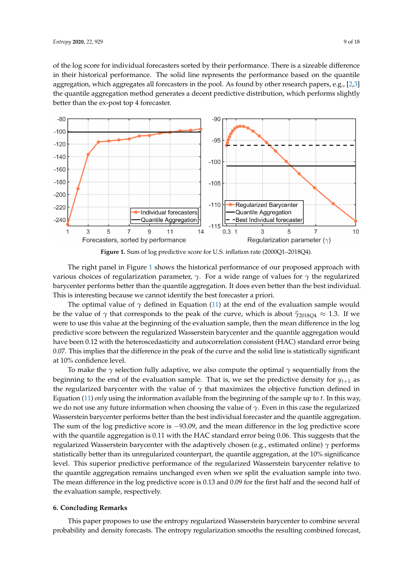of the log score for individual forecasters sorted by their performance. There is a sizeable difference in their historical performance. The solid line represents the performance based on the quantile aggregation, which aggregates all forecasters in the pool. As found by other research papers, e.g., [\[2](#page-16-8)[,3\]](#page-16-1) the quantile aggregation method generates a decent predictive distribution, which performs slightly better than the ex-post top 4 forecaster.

<span id="page-8-1"></span>

**Figure 1.** Sum of log predictive score for U.S. inflation rate (2000Q1–2018Q4).

The right panel in Figure [1](#page-8-1) shows the historical performance of our proposed approach with various choices of regularization parameter, *γ*. For a wide range of values for *γ* the regularized barycenter performs better than the quantile aggregation. It does even better than the best individual. This is interesting because we cannot identify the best forecaster a priori.

The optimal value of  $\gamma$  defined in Equation [\(11\)](#page-5-1) at the end of the evaluation sample would be the value of  $\gamma$  that corresponds to the peak of the curve, which is about  $\hat{\gamma}_{201804} \approx 1.3$ . If we were to use this value at the beginning of the evaluation sample, then the mean difference in the log predictive score between the regularized Wasserstein barycenter and the quantile aggregation would have been 0.12 with the heteroscedasticity and autocorrelation consistent (HAC) standard error being 0.07. This implies that the difference in the peak of the curve and the solid line is statistically significant at 10% confidence level.

To make the  $\gamma$  selection fully adaptive, we also compute the optimal  $\gamma$  sequentially from the beginning to the end of the evaluation sample. That is, we set the predictive density for  $y_{t+1}$  as the regularized barycenter with the value of  $\gamma$  that maximizes the objective function defined in Equation [\(11\)](#page-5-1) *only* using the information available from the beginning of the sample up to *t*. In this way, we do not use any future information when choosing the value of *γ*. Even in this case the regularized Wasserstein barycenter performs better than the best individual forecaster and the quantile aggregation. The sum of the log predictive score is −93.09, and the mean difference in the log predictive score with the quantile aggregation is 0.11 with the HAC standard error being 0.06. This suggests that the regularized Wasserstein barycenter with the adaptively chosen (e.g., estimated online) *γ* performs statistically better than its unregularized counterpart, the quantile aggregation, at the 10% significance level. This superior predictive performance of the regularized Wasserstein barycenter relative to the quantile aggregation remains unchanged even when we split the evaluation sample into two. The mean difference in the log predictive score is 0.13 and 0.09 for the first half and the second half of the evaluation sample, respectively.

### <span id="page-8-0"></span>**6. Concluding Remarks**

This paper proposes to use the entropy regularized Wasserstein barycenter to combine several probability and density forecasts. The entropy regularization smooths the resulting combined forecast,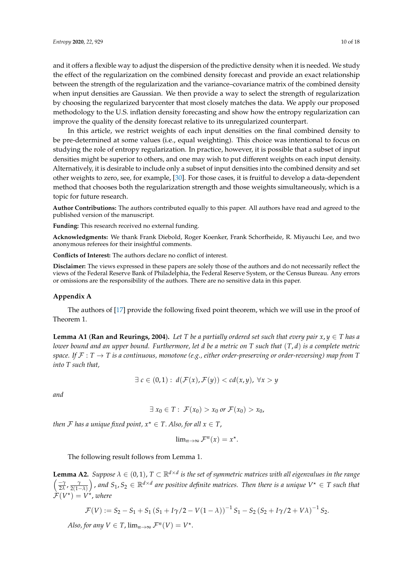and it offers a flexible way to adjust the dispersion of the predictive density when it is needed. We study the effect of the regularization on the combined density forecast and provide an exact relationship between the strength of the regularization and the variance–covariance matrix of the combined density when input densities are Gaussian. We then provide a way to select the strength of regularization by choosing the regularized barycenter that most closely matches the data. We apply our proposed methodology to the U.S. inflation density forecasting and show how the entropy regularization can improve the quality of the density forecast relative to its unregularized counterpart.

In this article, we restrict weights of each input densities on the final combined density to be pre-determined at some values (i.e., equal weighting). This choice was intentional to focus on studying the role of entropy regularization. In practice, however, it is possible that a subset of input densities might be superior to others, and one may wish to put different weights on each input density. Alternatively, it is desirable to include only a subset of input densities into the combined density and set other weights to zero, see, for example, [\[30\]](#page-17-1). For those cases, it is fruitful to develop a data-dependent method that chooses both the regularization strength and those weights simultaneously, which is a topic for future research.

**Author Contributions:** The authors contributed equally to this paper. All authors have read and agreed to the published version of the manuscript.

**Funding:** This research received no external funding.

**Acknowledgments:** We thank Frank Diebold, Roger Koenker, Frank Schorfheide, R. Miyauchi Lee, and two anonymous referees for their insightful comments.

**Conflicts of Interest:** The authors declare no conflict of interest.

**Disclaimer:** The views expressed in these papers are solely those of the authors and do not necessarily reflect the views of the Federal Reserve Bank of Philadelphia, the Federal Reserve System, or the Census Bureau. Any errors or omissions are the responsibility of the authors. There are no sensitive data in this paper.

#### <span id="page-9-0"></span>**Appendix A**

The authors of [\[17\]](#page-16-16) provide the following fixed point theorem, which we will use in the proof of Theorem 1.

**Lemma A1** (Ran and Reurings, 2004). Let *T* be a partially ordered set such that every pair  $x, y \in T$  has a *lower bound and an upper bound. Furthermore, let d be a metric on T such that* (*T*, *d*) *is a complete metric space.* If  $\mathcal{F}: T \to T$  *is a continuous, monotone (e.g., either order-preserving or order-reversing) map from*  $T$ *into T such that,*

$$
\exists c \in (0,1): d(\mathcal{F}(x), \mathcal{F}(y)) < cd(x,y), \forall x > y
$$

*and*

$$
\exists x_0 \in T: \ \mathcal{F}(x_0) > x_0 \text{ or } \mathcal{F}(x_0) > x_0,
$$

*then F has a unique fixed point,*  $x^* \in T$ *. Also, for all*  $x \in T$ *,* 

$$
\lim_{n\to\infty} \mathcal{F}^n(x) = x^*.
$$

The following result follows from Lemma 1.

**Lemma A2.** Suppose  $\lambda \in (0,1)$ ,  $T \subset \mathbb{R}^{d \times d}$  is the set of symmetric matrices with all eigenvalues in the range −*γ*  $\frac{-\gamma}{2\lambda}$ ,  $\frac{\gamma}{2(1-\lambda)}$  $\int$ , and  $S_1, S_2 \in \mathbb{R}^{d \times d}$  are positive definite matrices. Then there is a unique  $V^\star \in T$  such that  $\mathcal{F}(V^\star) = V^\star$ , where

$$
\mathcal{F}(V) := S_2 - S_1 + S_1 (S_1 + I\gamma/2 - V(1 - \lambda))^{-1} S_1 - S_2 (S_2 + I\gamma/2 + V\lambda)^{-1} S_2.
$$

*Also, for any*  $V \in T$ ,  $\lim_{n \to \infty} \mathcal{F}^n(V) = V^*$ .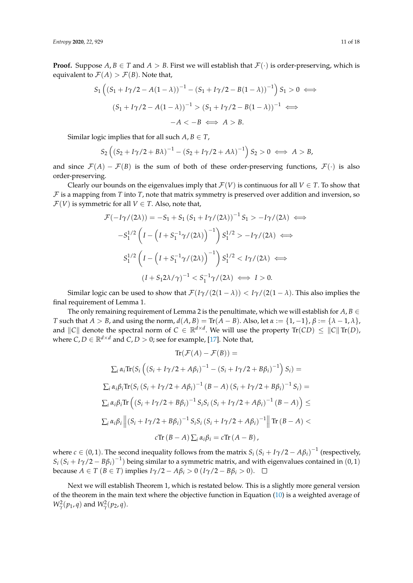**Proof.** Suppose  $A, B \in T$  and  $A > B$ . First we will establish that  $\mathcal{F}(\cdot)$  is order-preserving, which is equivalent to  $\mathcal{F}(A) > \mathcal{F}(B)$ . Note that,

$$
S_1\left(\left(S_1 + I\gamma/2 - A(1-\lambda)\right)^{-1} - \left(S_1 + I\gamma/2 - B(1-\lambda)\right)^{-1}\right)S_1 > 0 \iff
$$
\n
$$
\left(S_1 + I\gamma/2 - A(1-\lambda)\right)^{-1} > \left(S_1 + I\gamma/2 - B(1-\lambda)\right)^{-1} \iff
$$
\n
$$
-A < -B \iff A > B.
$$

Similar logic implies that for all such  $A, B \in T$ ,

$$
S_2\left(\left(S_2 + I\gamma/2 + B\lambda\right)^{-1} - \left(S_2 + I\gamma/2 + A\lambda\right)^{-1}\right)S_2 > 0 \iff A > B,
$$

and since  $\mathcal{F}(A) - \mathcal{F}(B)$  is the sum of both of these order-preserving functions,  $\mathcal{F}(\cdot)$  is also order-preserving.

Clearly our bounds on the eigenvalues imply that  $\mathcal{F}(V)$  is continuous for all  $V \in T$ . To show that  $F$  is a mapping from  $T$  into  $T$ , note that matrix symmetry is preserved over addition and inversion, so  $\mathcal{F}(V)$  is symmetric for all  $V \in T$ . Also, note that,

$$
\mathcal{F}(-I\gamma/(2\lambda)) = -S_1 + S_1 (S_1 + I\gamma/(2\lambda))^{-1} S_1 > -I\gamma/(2\lambda) \iff
$$
  

$$
-S_1^{1/2} \left(I - \left(I + S_1^{-1}\gamma/(2\lambda)\right)^{-1}\right) S_1^{1/2} > -I\gamma/(2\lambda) \iff
$$
  

$$
S_1^{1/2} \left(I - \left(I + S_1^{-1}\gamma/(2\lambda)\right)^{-1}\right) S_1^{1/2} < I\gamma/(2\lambda) \iff
$$
  

$$
(I + S_1 2\lambda/\gamma)^{-1} < S_1^{-1}\gamma/(2\lambda) \iff I > 0.
$$

Similar logic can be used to show that  $\mathcal{F}(I\gamma/(2(1-\lambda)) < I\gamma/(2(1-\lambda))$ . This also implies the final requirement of Lemma 1.

The only remaining requirement of Lemma 2 is the penultimate, which we will establish for  $A, B \in$ *T* such that *A* > *B*, and using the norm,  $d(A, B) = \text{Tr}(A - B)$ . Also, let  $\alpha := \{1, -1\}$ ,  $\beta := \{\lambda - 1, \lambda\}$ , and  $||C||$  denote the spectral norm of  $C \in \mathbb{R}^{d \times d}$ . We will use the property  $Tr(CD) \leq ||C|| Tr(D)$ , where  $C, D \in \mathbb{R}^{d \times d}$  and  $C, D > 0$ ; see for example, [\[17\]](#page-16-16). Note that,

$$
\operatorname{Tr}(\mathcal{F}(A) - \mathcal{F}(B)) =
$$
  
\n
$$
\sum_{i} \alpha_{i} \operatorname{Tr}(S_{i} ((S_{i} + I\gamma/2 + A\beta_{i})^{-1} - (S_{i} + I\gamma/2 + B\beta_{i})^{-1}) S_{i}) =
$$
  
\n
$$
\sum_{i} \alpha_{i} \beta_{i} \operatorname{Tr}(S_{i} (S_{i} + I\gamma/2 + A\beta_{i})^{-1} (B - A) (S_{i} + I\gamma/2 + B\beta_{i})^{-1} S_{i}) =
$$
  
\n
$$
\sum_{i} \alpha_{i} \beta_{i} \operatorname{Tr} ((S_{i} + I\gamma/2 + B\beta_{i})^{-1} S_{i} S_{i} (S_{i} + I\gamma/2 + A\beta_{i})^{-1} (B - A)) \le
$$
  
\n
$$
\sum_{i} \alpha_{i} \beta_{i} ||(S_{i} + I\gamma/2 + B\beta_{i})^{-1} S_{i} S_{i} (S_{i} + I\gamma/2 + A\beta_{i})^{-1} || \operatorname{Tr} (B - A) <
$$
  
\n
$$
c \operatorname{Tr} (B - A) \sum_{i} \alpha_{i} \beta_{i} = c \operatorname{Tr} (A - B),
$$

where  $c \in (0, 1)$ . The second inequality follows from the matrix  $S_i(S_i + I\gamma/2 - A\beta_i)^{-1}$  (respectively,  $S_i(S_i + I\gamma/2 - B\beta_i)^{-1}$ ) being similar to a symmetric matrix, and with eigenvalues contained in  $(0, 1)$ because *A* ∈ *T* (*B* ∈ *T*) implies *Iγ*/2 − *Aβ<sup>i</sup>* > 0 (*Iγ*/2 − *Bβ<sup>i</sup>* > 0).

Next we will establish Theorem 1, which is restated below. This is a slightly more general version of the theorem in the main text where the objective function in Equation [\(10\)](#page-3-2) is a weighted average of *W*<sub>2</sub><sup>2</sup>(*p*<sub>1</sub>, *q*) and *W*<sub>2</sub><sup>2</sup>(*p*<sub>2</sub>, *q*).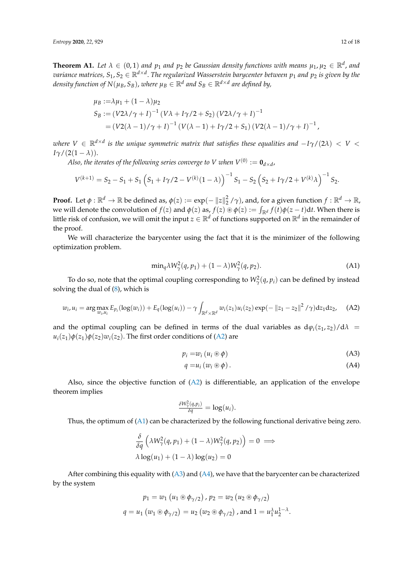**Theorem A1.** Let  $\lambda \in (0,1)$  and  $p_1$  and  $p_2$  be Gaussian density functions with means  $\mu_1, \mu_2 \in \mathbb{R}^d$ , and  $v$ ariance matrices,  $S_1$ ,  $S_2\in\mathbb{R}^{d\times d}.$  The regularized Wasserstein barycenter between  $p_1$  and  $p_2$  is given by the density function of  $N(\mu_B, S_B)$ , where  $\mu_B \in \mathbb{R}^d$  and  $S_B \in \mathbb{R}^{d \times d}$  are defined by,

$$
\mu_B := \lambda \mu_1 + (1 - \lambda) \mu_2
$$
  
\n
$$
S_B := (V2\lambda/\gamma + I)^{-1} (V\lambda + I\gamma/2 + S_2) (V2\lambda/\gamma + I)^{-1}
$$
  
\n
$$
= (V2(\lambda - 1)/\gamma + I)^{-1} (V(\lambda - 1) + I\gamma/2 + S_1) (V2(\lambda - 1)/\gamma + I)^{-1},
$$

 $\omega$ here  $V \in \mathbb{R}^{d \times d}$  is the unique symmetric matrix that satisfies these equalities and  $-I\gamma/(2\lambda) < V < \infty$  $I\gamma/(2(1-\lambda)).$ 

Also, the iterates of the following series converge to V when  $V^{(0)} := \textbf{0}_{d \times d}$ ,

$$
V^{(k+1)} = S_2 - S_1 + S_1 \left( S_1 + I\gamma/2 - V^{(k)}(1-\lambda) \right)^{-1} S_1 - S_2 \left( S_2 + I\gamma/2 + V^{(k)}\lambda \right)^{-1} S_2.
$$

**Proof.** Let  $\phi: \mathbb{R}^d \to \mathbb{R}$  be defined as,  $\phi(z) := \exp(-\|z\|_2^2/\gamma)$ , and, for a given function  $f: \mathbb{R}^d \to \mathbb{R}$ , we will denote the convolution of  $f(z)$  and  $\phi(z)$  as,  $f(z) \circledast \phi(z) := \int_{\mathbb{R}^d} f(t) \phi(z - t) dt$ . When there is little risk of confusion, we will omit the input  $z \in \mathbb{R}^d$  of functions supported on  $\mathbb{R}^d$  in the remainder of the proof.

We will characterize the barycenter using the fact that it is the minimizer of the following optimization problem.

<span id="page-11-1"></span>
$$
\min_{q} \lambda W_{\gamma}^{2}(q, p_{1}) + (1 - \lambda)W_{\gamma}^{2}(q, p_{2}).
$$
\n(A1)

To do so, note that the optimal coupling corresponding to  $W^2_\gamma(q,p_i)$  can be defined by instead solving the dual of [\(8\)](#page-3-1), which is

$$
w_{i}, u_{i} = \arg \max_{w_{i}, u_{i}} E_{p_{i}}(\log(w_{i})) + E_{q}(\log(u_{i})) - \gamma \int_{\mathbb{R}^{d} \times \mathbb{R}^{d}} w_{i}(z_{1}) u_{i}(z_{2}) \exp(-\|z_{1} - z_{2}\|^{2} / \gamma) dz_{1} dz_{2}, \quad (A2)
$$

and the optimal coupling can be defined in terms of the dual variables as  $d\varphi_i(z_1, z_2)/d\lambda$  =  $u_i(z_1)\phi(z_1)\phi(z_2)w_i(z_2)$ . The first order conditions of [\(A2\)](#page-11-0) are

<span id="page-11-0"></span>
$$
p_i = w_i (u_i \otimes \phi) \tag{A3}
$$

<span id="page-11-3"></span><span id="page-11-2"></span>
$$
q = u_i \left( w_i \circledast \phi \right). \tag{A4}
$$

Also, since the objective function of  $(A2)$  is differentiable, an application of the envelope theorem implies

$$
\frac{\delta W_{\gamma}^2(q,p_i)}{\delta q} = \log(u_i).
$$

Thus, the optimum of  $(A1)$  can be characterized by the following functional derivative being zero.

$$
\frac{\delta}{\delta q} \left( \lambda W_{\gamma}^2(q, p_1) + (1 - \lambda) W_{\gamma}^2(q, p_2) \right) = 0 \implies
$$
  

$$
\lambda \log(u_1) + (1 - \lambda) \log(u_2) = 0
$$

After combining this equality with  $(A3)$  and  $(A4)$ , we have that the barycenter can be characterized by the system

$$
p_1 = w_1 \left( u_1 \circledast \phi_{\gamma/2} \right), p_2 = w_2 \left( u_2 \circledast \phi_{\gamma/2} \right)
$$
  

$$
q = u_1 \left( w_1 \circledast \phi_{\gamma/2} \right) = u_2 \left( w_2 \circledast \phi_{\gamma/2} \right), \text{and } 1 = u_1^{\lambda} u_2^{1-\lambda}.
$$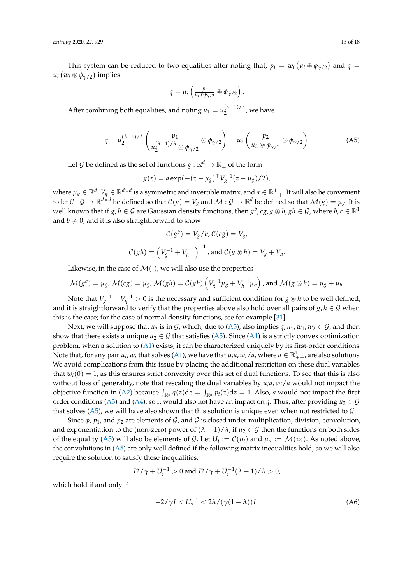This system can be reduced to two equalities after noting that,  $p_i = w_i (u_i \otimes \phi_{\gamma/2})$  and  $q =$  $u_i$  ( $w_i \circledast \phi_{\gamma/2}$ ) implies

<span id="page-12-0"></span>
$$
q=u_i\left(\tfrac{p_i}{u_i\otimes\phi_{\gamma/2}}\otimes\phi_{\gamma/2}\right).
$$

After combining both equalities, and noting  $u_1 = u_2^{(\lambda - 1)/\lambda}$  $2^{(\lambda-1)/\lambda}$ , we have

$$
q = u_2^{(\lambda - 1)/\lambda} \left( \frac{p_1}{u_2^{(\lambda - 1)/\lambda} \circledast \phi_{\gamma/2}} \circledast \phi_{\gamma/2} \right) = u_2 \left( \frac{p_2}{u_2 \circledast \phi_{\gamma/2}} \circledast \phi_{\gamma/2} \right) \tag{A5}
$$

Let  $\mathcal G$  be defined as the set of functions  $g:\mathbb R^d\to\mathbb R^1_+$  of the form

$$
g(z) = a \exp(-(z - \mu_g)^{\top} V_g^{-1}(z - \mu_g)/2),
$$

where  $\mu_g\in\mathbb{R}^d$  ,  $V_g\in\mathbb{R}^{d\times d}$  is a symmetric and invertible matrix, and  $a\in\mathbb{R}^1_{++}$ . It will also be convenient to let  $C : \mathcal{G} \to \mathbb{R}^{d \times d}$  be defined so that  $C(g) = V_g$  and  $\mathcal{M} : \mathcal{G} \to \mathbb{R}^d$  be defined so that  $\mathcal{M}(g) = \mu_g$ . It is well known that if  $g$ ,  $h \in G$  are Gaussian density functions, then  $g^b$ ,  $cg$ ,  $g \circledast h$ ,  $gh \in G$ , where  $b$ ,  $c \in \mathbb{R}^1$ and  $b \neq 0$ , and it is also straightforward to show

$$
\mathcal{C}(g^b) = V_g/b, \mathcal{C}(cg) = V_g,
$$
  

$$
\mathcal{C}(gh) = \left(V_g^{-1} + V_h^{-1}\right)^{-1}, \text{and } \mathcal{C}(g \circledast h) = V_g + V_h.
$$

Likewise, in the case of  $\mathcal{M}(\cdot)$ , we will also use the properties

$$
\mathcal{M}(g^b) = \mu_g, \mathcal{M}(cg) = \mu_g, \mathcal{M}(gh) = C(gh) \left( V_g^{-1} \mu_g + V_h^{-1} \mu_h \right), \text{and } \mathcal{M}(g \circledast h) = \mu_g + \mu_h.
$$

Note that  $V_g^{-1} + V_h^{-1} > 0$  is the necessary and sufficient condition for  $g \circledast h$  to be well defined, and it is straightforward to verify that the properties above also hold over all pairs of  $g, h \in \mathcal{G}$  when this is the case; for the case of normal density functions, see for example [\[31\]](#page-17-2).

Next, we will suppose that  $u_2$  is in  $\mathcal{G}$ , which, due to [\(A5\)](#page-12-0), also implies  $q$ ,  $u_1$ ,  $w_1$ ,  $w_2 \in \mathcal{G}$ , and then show that there exists a unique  $u_2 \in \mathcal{G}$  that satisfies [\(A5\)](#page-12-0). Since [\(A1\)](#page-11-1) is a strictly convex optimization problem, when a solution to  $(A1)$  exists, it can be characterized uniquely by its first-order conditions. Note that, for any pair  $u_i$ ,  $w_i$  that solves [\(A1\)](#page-11-1), we have that  $u_i$ *a*,  $w_i$  / *a*, where  $a \in \mathbb{R}^1_{++}$ , are also solutions. We avoid complications from this issue by placing the additional restriction on these dual variables that  $w_i(0) = 1$ , as this ensures strict convexity over this set of dual functions. To see that this is also without loss of generality, note that rescaling the dual variables by *uia*, *wi*/*a* would not impact the objective function in [\(A2\)](#page-11-0) because  $\int_{\mathbb{R}^d} q(z)dz = \int_{\mathbb{R}^d} p_i(z)dz = 1$ . Also, *a* would not impact the first order conditions [\(A3\)](#page-11-2) and [\(A4\)](#page-11-3), so it would also not have an impact on *q*. Thus, after providing  $u_2 \in \mathcal{G}$ that solves [\(A5\)](#page-12-0), we will have also shown that this solution is unique even when not restricted to  $\mathcal{G}$ .

Since  $\phi$ ,  $p_1$ , and  $p_2$  are elements of  $\mathcal G$ , and  $\mathcal G$  is closed under multiplication, division, convolution, and exponentiation to the (non-zero) power of  $(\lambda - 1)/\lambda$ , if  $u_2 \in \mathcal{G}$  then the functions on both sides of the equality [\(A5\)](#page-12-0) will also be elements of G. Let  $U_i := C(u_i)$  and  $\mu_u := \mathcal{M}(u_2)$ . As noted above, the convolutions in  $(A5)$  are only well defined if the following matrix inequalities hold, so we will also require the solution to satisfy these inequalities.

$$
I2/\gamma + U_i^{-1} > 0
$$
 and  $I2/\gamma + U_i^{-1}(\lambda - 1)/\lambda > 0$ ,

which hold if and only if

<span id="page-12-1"></span>
$$
-2/\gamma I < U_2^{-1} < 2\lambda / (\gamma (1 - \lambda))I. \tag{A6}
$$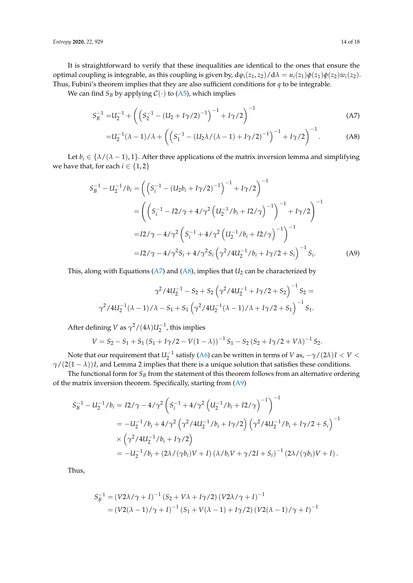*Entropy* **2020**, *22*, 929 14 of 18

It is straightforward to verify that these inequalities are identical to the ones that ensure the optimal coupling is integrable, as this coupling is given by,  $d\varphi_i(z_1, z_2)/d\lambda = u_i(z_1)\varphi(z_1)\varphi(z_2)w_i(z_2)$ . Thus, Fubini's theorem implies that they are also sufficient conditions for *q* to be integrable.

We can find  $S_B$  by applying  $C(\cdot)$  to [\(A5\)](#page-12-0), which implies

$$
S_B^{-1} = U_2^{-1} + \left( \left( S_2^{-1} - (U_2 + I\gamma/2)^{-1} \right)^{-1} + I\gamma/2 \right)^{-1}
$$
 (A7)

<span id="page-13-1"></span><span id="page-13-0"></span>
$$
=U_2^{-1}(\lambda - 1)/\lambda + \left(\left(S_1^{-1} - (U_2\lambda/(\lambda - 1) + I\gamma/2)^{-1}\right)^{-1} + I\gamma/2\right)^{-1}.
$$
 (A8)

Let  $b_i \in \{\lambda/(\lambda-1),1\}$ . After three applications of the matrix inversion lemma and simplifying we have that, for each  $i \in \{1, 2\}$ 

$$
S_B^{-1} - U_2^{-1}/b_i = \left( \left( S_i^{-1} - (U_2 b_i + I \gamma / 2)^{-1} \right)^{-1} + I \gamma / 2 \right)^{-1}
$$
  
= 
$$
\left( \left( S_i^{-1} - I2/\gamma + 4/\gamma^2 \left( U_2^{-1}/b_i + I2/\gamma \right)^{-1} \right)^{-1} + I \gamma / 2 \right)^{-1}
$$
  
= 
$$
I2/\gamma - 4/\gamma^2 \left( S_i^{-1} + 4/\gamma^2 \left( U_2^{-1}/b_i + I2/\gamma \right)^{-1} \right)^{-1}
$$
  
= 
$$
I2/\gamma - 4/\gamma^2 S_i + 4/\gamma^2 S_i \left( \gamma^2 / 4U_2^{-1}/b_i + I \gamma / 2 + S_i \right)^{-1} S_i.
$$
 (A9)

This, along with Equations ( $A$ 7) and ( $A$ 8), implies that  $U_2$  can be characterized by

<span id="page-13-2"></span>
$$
\gamma^2 / 4U_2^{-1} - S_2 + S_2 \left( \gamma^2 / 4U_2^{-1} + I\gamma / 2 + S_2 \right)^{-1} S_2 =
$$
  

$$
\gamma^2 / 4U_2^{-1} (\lambda - 1) / \lambda - S_1 + S_1 \left( \gamma^2 / 4U_2^{-1} (\lambda - 1) / \lambda + I\gamma / 2 + S_1 \right)^{-1} S_1.
$$

After defining *V* as  $\gamma^2/(4\lambda)U_2^{-1}$ , this implies

$$
V = S_2 - S_1 + S_1 (S_1 + I\gamma/2 - V(1 - \lambda))^{-1} S_1 - S_2 (S_2 + I\gamma/2 + V\lambda)^{-1} S_2.
$$

Note that our requirement that  $U_2^{-1}$  satisfy [\(A6\)](#page-12-1) can be written in terms of *V* as,  $-\gamma/(2\lambda)I < V <$  $\gamma$ /(2(1 − *λ*))*I*, and Lemma 2 implies that there is a unique solution that satisfies these conditions.

The functional form for *S<sup>B</sup>* from the statement of this theorem follows from an alternative ordering of the matrix inversion theorem. Specifically, starting from [\(A9\)](#page-13-2)

$$
S_B^{-1} - U_2^{-1}/b_i = 12/\gamma - 4/\gamma^2 \left( S_i^{-1} + 4/\gamma^2 \left( U_2^{-1}/b_i + 12/\gamma \right)^{-1} \right)^{-1}
$$
  
= 
$$
-U_2^{-1}/b_i + 4/\gamma^2 \left( \gamma^2 / 4U_2^{-1}/b_i + 1\gamma / 2 \right) \left( \gamma^2 / 4U_2^{-1}/b_i + 1\gamma / 2 + S_i \right)^{-1}
$$
  

$$
\times \left( \gamma^2 / 4U_2^{-1}/b_i + 1\gamma / 2 \right)
$$
  
= 
$$
-U_2^{-1}/b_i + (2\lambda/(\gamma b_i)V + I) \left( \lambda/b_iV + \gamma/2I + S_i \right)^{-1} (2\lambda/(\gamma b_i)V + I).
$$

Thus,

$$
S_B^{-1} = (V2\lambda/\gamma + I)^{-1} (S_2 + V\lambda + I\gamma/2) (V2\lambda/\gamma + I)^{-1}
$$
  
=  $(V2(\lambda - 1)/\gamma + I)^{-1} (S_1 + V(\lambda - 1) + I\gamma/2) (V2(\lambda - 1)/\gamma + I)^{-1}$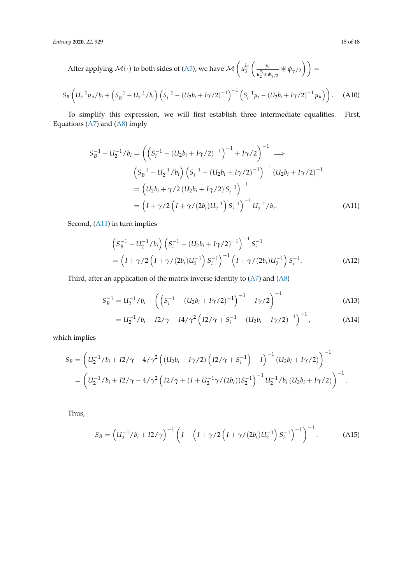After applying  $\mathcal{M}(\cdot)$  to both sides of [\(A5\)](#page-12-0), we have  $\mathcal{M}$   $\left( \frac{u_2^{b_1}}{2} \right)$  $\left( \begin{array}{cc} p_i \end{array} \right)$  $\left(\frac{p_i}{u_2^{b_i} \circledast \phi_{\gamma/2}} \circledast \phi_{\gamma/2}\right)\right) =$ 

<span id="page-14-1"></span>
$$
S_B\left(U_2^{-1}\mu_u/b_i+\left(S_B^{-1}-U_2^{-1}/b_i\right)\left(S_i^{-1}-(U_2b_i+I\gamma/2)^{-1}\right)^{-1}\left(S_i^{-1}\mu_i-(U_2b_i+I\gamma/2)^{-1}\mu_u\right)\right).
$$
 (A10)

To simplify this expression, we will first establish three intermediate equalities. First, Equations [\(A7\)](#page-13-0) and [\(A8\)](#page-13-1) imply

$$
S_B^{-1} - U_2^{-1}/b_i = \left( \left( S_i^{-1} - (U_2 b_i + I \gamma / 2)^{-1} \right)^{-1} + I \gamma / 2 \right)^{-1} \implies
$$
  

$$
\left( S_B^{-1} - U_2^{-1}/b_i \right) \left( S_i^{-1} - (U_2 b_i + I \gamma / 2)^{-1} \right)^{-1} (U_2 b_i + I \gamma / 2)^{-1}
$$
  

$$
= \left( U_2 b_i + \gamma / 2 \left( U_2 b_i + I \gamma / 2 \right) S_i^{-1} \right)^{-1}
$$
  

$$
= \left( I + \gamma / 2 \left( I + \gamma / (2 b_i) U_2^{-1} \right) S_i^{-1} \right)^{-1} U_2^{-1} / b_i.
$$
 (A11)

Second, [\(A11\)](#page-14-0) in turn implies

<span id="page-14-3"></span><span id="page-14-0"></span>
$$
\left(S_B^{-1} - U_2^{-1}/b_i\right) \left(S_i^{-1} - (U_2 b_i + I\gamma/2)^{-1}\right)^{-1} S_i^{-1}
$$
  
= 
$$
\left(I + \gamma/2 \left(I + \gamma/(2b_i)U_2^{-1}\right) S_i^{-1}\right)^{-1} \left(I + \gamma/(2b_i)U_2^{-1}\right) S_i^{-1}.
$$
 (A12)

Third, after an application of the matrix inverse identity to  $(A7)$  and  $(A8)$ 

$$
S_B^{-1} = U_2^{-1}/b_i + \left( \left( S_i^{-1} - (U_2 b_i + I \gamma / 2)^{-1} \right)^{-1} + I \gamma / 2 \right)^{-1}
$$
 (A13)

$$
= U_2^{-1}/b_i + I2/\gamma - I4/\gamma^2 \left(I2/\gamma + S_i^{-1} - (U_2b_i + I\gamma/2)^{-1}\right)^{-1},
$$
 (A14)

which implies

$$
S_B = \left( U_2^{-1}/b_i + I2/\gamma - 4/\gamma^2 \left( (U_2 b_i + I\gamma/2) \left( I2/\gamma + S_i^{-1} \right) - I \right)^{-1} (U_2 b_i + I\gamma/2) \right)^{-1}
$$
  
= 
$$
\left( U_2^{-1}/b_i + I2/\gamma - 4/\gamma^2 \left( I2/\gamma + (I + U_2^{-1}\gamma/(2b_i))S_2^{-1} \right)^{-1} U_2^{-1}/b_i (U_2 b_i + I\gamma/2) \right)^{-1}.
$$

Thus,

<span id="page-14-2"></span>
$$
S_B = \left( \frac{U_2^{-1}}{b_i} + \frac{I2}{\gamma} \right)^{-1} \left( I - \left( I + \gamma / 2 \left( I + \gamma / (2b_i) U_2^{-1} \right) S_i^{-1} \right)^{-1} \right). \tag{A15}
$$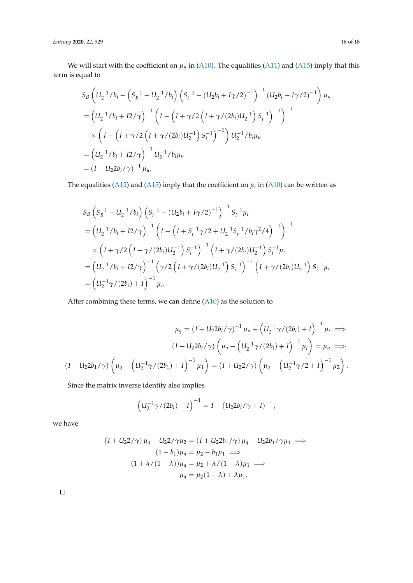*Entropy* **2020**, *22*, 929 16 of 18

We will start with the coefficient on  $\mu_u$  in [\(A10\)](#page-14-1). The equalities [\(A11\)](#page-14-0) and [\(A15\)](#page-14-2) imply that this term is equal to

$$
S_B \left( U_2^{-1}/b_i - \left( S_B^{-1} - U_2^{-1}/b_i \right) \left( S_i^{-1} - \left( U_2 b_i + I \gamma / 2 \right)^{-1} \right)^{-1} \left( U_2 b_i + I \gamma / 2 \right)^{-1} \right) \mu_u
$$
  
=  $\left( U_2^{-1}/b_i + I2/\gamma \right)^{-1} \left( I - \left( I + \gamma / 2 \left( I + \gamma / (2b_i) U_2^{-1} \right) S_i^{-1} \right)^{-1} \right)^{-1}$   

$$
\times \left( I - \left( I + \gamma / 2 \left( I + \gamma / (2b_i) U_2^{-1} \right) S_i^{-1} \right)^{-1} \right) U_2^{-1} / b_i \mu_u
$$
  
=  $\left( U_2^{-1}/b_i + I2/\gamma \right)^{-1} U_2^{-1} / b_i \mu_u$   
=  $\left( I + U_2 2b_i / \gamma \right)^{-1} \mu_u.$ 

The equalities [\(A12\)](#page-14-3) and [\(A15\)](#page-14-2) imply that the coefficient on  $\mu_i$  in [\(A10\)](#page-14-1) can be written as

$$
S_B \left( S_B^{-1} - U_2^{-1} / b_i \right) \left( S_i^{-1} - (U_2 b_i + I \gamma / 2)^{-1} \right)^{-1} S_i^{-1} \mu_i
$$
  
= 
$$
\left( U_2^{-1} / b_i + I2 / \gamma \right)^{-1} \left( I - \left( I + S_i^{-1} \gamma / 2 + U_2^{-1} S_i^{-1} / b_i \gamma^2 / 4 \right)^{-1} \right)^{-1}
$$
  

$$
\times \left( I + \gamma / 2 \left( I + \gamma / (2b_i) U_2^{-1} \right) S_i^{-1} \right)^{-1} \left( I + \gamma / (2b_i) U_2^{-1} \right) S_i^{-1} \mu_i
$$
  
= 
$$
\left( U_2^{-1} / b_i + I2 / \gamma \right)^{-1} \left( \gamma / 2 \left( I + \gamma / (2b_i) U_2^{-1} \right) S_i^{-1} \right)^{-1} \left( I + \gamma / (2b_i) U_2^{-1} \right) S_i^{-1} \mu_i
$$
  
= 
$$
\left( U_2^{-1} \gamma / (2b_i) + I \right)^{-1} \mu_i.
$$

After combining these terms, we can define [\(A10\)](#page-14-1) as the solution to

$$
\mu_q = (I + U_2 2b_i / \gamma)^{-1} \mu_u + \left( U_2^{-1} \gamma / (2b_i) + I \right)^{-1} \mu_i \implies
$$
  

$$
(I + U_2 2b_i / \gamma) \left( \mu_q - \left( U_2^{-1} \gamma / (2b_i) + I \right)^{-1} \mu_i \right) = \mu_u \implies
$$
  

$$
(I + U_2 2b_1 / \gamma) \left( \mu_q - \left( U_2^{-1} \gamma / (2b_1) + I \right)^{-1} \mu_1 \right) = (I + U_2 2/\gamma) \left( \mu_q - \left( U_2^{-1} \gamma / 2 + I \right)^{-1} \mu_2 \right).
$$

Since the matrix inverse identity also implies

$$
\left(U_2^{-1}\gamma/(2b_i)+I\right)^{-1}=I-(U_22b_i/\gamma+I)^{-1},
$$

we have

$$
(I + U22/\gamma) \mu_q - U22/\gamma \mu_2 = (I + U22b1/\gamma) \mu_q - U22b1/\gamma \mu_1 \implies
$$
  
\n
$$
(1 - b1) \mu_q = \mu_2 - b_1 \mu_1 \implies
$$
  
\n
$$
(1 + \lambda/(1 - \lambda)) \mu_q = \mu_2 + \lambda/(1 - \lambda)\mu_1 \implies
$$
  
\n
$$
\mu_q = \mu_2(1 - \lambda) + \lambda \mu_1.
$$

 $\Box$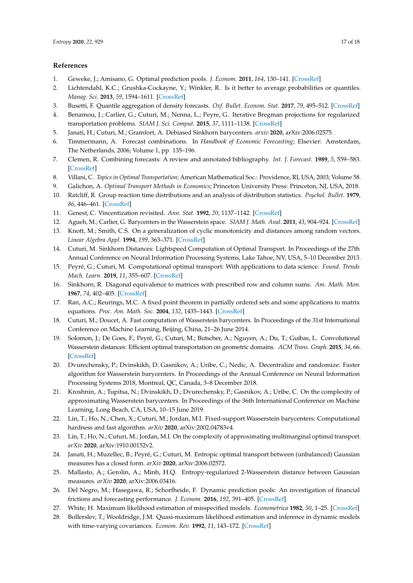# **References**

- <span id="page-16-0"></span>1. Geweke, J.; Amisano, G. Optimal prediction pools. *J. Econom.* **2011**, *164*, 130–141. [\[CrossRef\]](http://dx.doi.org/10.1016/j.jeconom.2011.02.017)
- <span id="page-16-8"></span>2. Lichtendahl, K.C.; Grushka-Cockayne, Y.; Winkler, R. Is it better to average probabilities or quantiles. *Manag. Sci.* **2013**, *59*, 1594–1611. [\[CrossRef\]](http://dx.doi.org/10.1287/mnsc.1120.1667)
- <span id="page-16-1"></span>3. Busetti, F. Quantile aggregation of density forecasts. *Oxf. Bullet. Econom. Stat.* **2017**, *79*, 495–512. [\[CrossRef\]](http://dx.doi.org/10.1111/obes.12163)
- <span id="page-16-2"></span>4. Benamou, J.; Carlier, G.; Cuturi, M.; Nenna, L.; Peyre, G. Iterative Bregman projections for regularized transportation problems. *SIAM J. Sci. Comput.* **2015**, *37*, 1111–1138. [\[CrossRef\]](http://dx.doi.org/10.1137/141000439)
- <span id="page-16-3"></span>5. Janati, H.; Cuturi, M.; Gramfort, A. Debiased Sinkhorn barycenters. *arxiv* **2020**, arXiv:2006.02575.
- <span id="page-16-4"></span>6. Timmermann, A. Forecast combinations. In *Handbook of Economic Forecasting*; Elsevier: Amsterdam, The Netherlands, 2006; Volume 1, pp. 135–196.
- <span id="page-16-5"></span>7. Clemen, R. Combining forecasts: A review and annotated bibliography. *Int. J. Forecast.* **1989**, *5*, 559–583. [\[CrossRef\]](http://dx.doi.org/10.1016/0169-2070(89)90012-5)
- <span id="page-16-6"></span>8. Villani, C. *Topics in Optimal Transportation*; American Mathematical Soc.: Providence, RI, USA, 2003; Volume 58.
- <span id="page-16-7"></span>9. Galichon, A. *Optimal Transport Methods in Economics*; Princeton University Press: Princeton, NJ, USA, 2018.
- <span id="page-16-9"></span>10. Ratcliff, R. Group reaction time distributions and an analysis of distribution statistics. *Psychol. Bullet.* **1979**, *86*, 446–461. [\[CrossRef\]](http://dx.doi.org/10.1037/0033-2909.86.3.446)
- <span id="page-16-10"></span>11. Genest, C. Vincentization revisited. *Ann. Stat.* **1992**, *20*, 1137–1142. [\[CrossRef\]](http://dx.doi.org/10.1214/aos/1176348676)
- <span id="page-16-11"></span>12. Agueh, M.; Carlier, G. Barycenters in the Wasserstein space. *SIAM J. Math. Anal.* **2011**, *43*, 904–924. [\[CrossRef\]](http://dx.doi.org/10.1137/100805741)
- <span id="page-16-12"></span>13. Knott, M.; Smith, C.S. On a generalization of cyclic monotonicity and distances among random vectors. *Linear Algebra Appl.* **1994**, *199*, 363–371. [\[CrossRef\]](http://dx.doi.org/10.1016/0024-3795(94)90359-X)
- <span id="page-16-13"></span>14. Cuturi, M. Sinkhorn Distances: Lightspeed Computation of Optimal Transport. In Proceedings of the 27th Annual Conference on Neural Information Processing Systems, Lake Tahoe, NV, USA, 5–10 December 2013.
- <span id="page-16-14"></span>15. Peyré, G.; Cuturi, M. Computational optimal transport: With applications to data science. *Found. Trends Mach. Learn.* **2019**, *11*, 355–607. [\[CrossRef\]](http://dx.doi.org/10.1561/2200000073)
- <span id="page-16-15"></span>16. Sinkhorn, R. Diagonal equivalence to matrices with prescribed row and column sums. *Am. Math. Mon.* **1967**, *74*, 402–405. [\[CrossRef\]](http://dx.doi.org/10.2307/2314570)
- <span id="page-16-16"></span>17. Ran, A.C.; Reurings, M.C. A fixed point theorem in partially ordered sets and some applications to matrix equations. *Proc. Am. Math. Soc.* **2004**, *132*, 1435–1443. [\[CrossRef\]](http://dx.doi.org/10.1090/S0002-9939-03-07220-4)
- <span id="page-16-17"></span>18. Cuturi, M.; Doucet, A. Fast computation of Wasserstein barycenters. In Proceedings of the 31st International Conference on Machine Learning, Beijing, China, 21–26 June 2014.
- <span id="page-16-24"></span>19. Solomon, J.; De Goes, F.; Peyré, G.; Cuturi, M.; Butscher, A.; Nguyen, A.; Du, T.; Guibas, L. Convolutional Wasserstein distances: Efficient optimal transportation on geometric domains. *ACM Trans. Graph.* **2015**, *34*, 66. [\[CrossRef\]](http://dx.doi.org/10.1145/2766963)
- 20. Dvurechensky, P.; Dvinskikh, D. Gasnikov, A.; Uribe, C.; Nedic, A. Decentralize and randomize: Faster algorithm for Wasserstein barycenters. In Proceedings of the Annual Conference on Neural Information Processing Systems 2018, Montreal, QC, Canada, 3–8 December 2018.
- 21. Kroshnin, A.; Tupitsa, N.; Dvinskikh, D.; Dvurechensky, P.; Gasnikov, A.; Uribe, C. On the complexity of approximating Wasserstein barycenters. In Proceedings of the 36th International Conference on Machine Learning, Long Beach, CA, USA, 10–15 June 2019.
- 22. Lin, T.; Ho, N.; Chen, X.; Cuturi, M.; Jordan, M.I. Fixed-support Wasserstein barycenters: Computational hardness and fast algorithm. *arXiv* **2020**, arXiv:2002.04783v4.
- <span id="page-16-18"></span>23. Lin, T.; Ho, N.; Cuturi, M.; Jordan, M.I. On the complexity of approximating multimarginal optimal transport. *arXiv* **2020**, arXiv:1910.00152v2.
- <span id="page-16-19"></span>24. Janati, H.; Muzellec, B.; Peyré, G.; Cuturi, M. Entropic optimal transport between (unbalanced) Gaussian measures has a closed form. *arXiv* **2020**, arXiv:2006.02572.
- <span id="page-16-20"></span>25. Mallasto, A.; Gerolin, A.; Minh, H.Q. Entropy-regularized 2-Wasserstein distance between Gaussian measures. *arXiv* **2020**, arXiv:2006.03416.
- <span id="page-16-21"></span>26. Del Negro, M.; Hasegawa, R.; Schorfheide, F. Dynamic prediction pools: An investigation of financial frictions and forecasting performance. *J. Econom.* **2016**, *192*, 391–405. [\[CrossRef\]](http://dx.doi.org/10.1016/j.jeconom.2016.02.006)
- <span id="page-16-22"></span>27. White, H. Maximum likelihood estimation of misspecified models. *Econometrica* **1982**, *50*, 1–25. [\[CrossRef\]](http://dx.doi.org/10.2307/1912526)
- <span id="page-16-23"></span>28. Bollerslev, T.; Wooldridge, J.M. Quasi-maximum likelihood estimation and inference in dynamic models with time-varying covariances. *Econom. Rev.* **1992**, *11*, 143–172. [\[CrossRef\]](http://dx.doi.org/10.1080/07474939208800229)